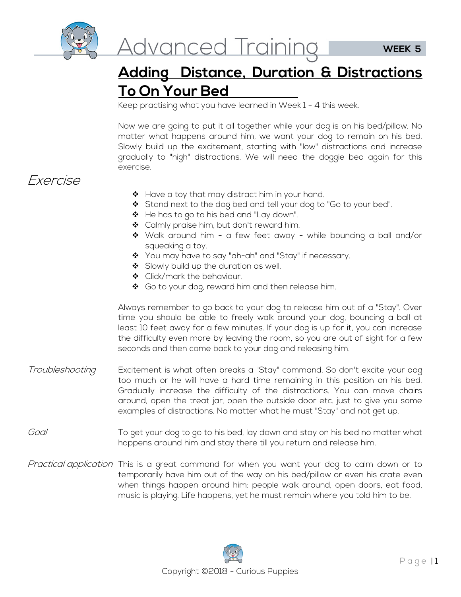

## **Adding Distance, Duration & Distractions To On Your Bed**

Keep practising what you have learned in Week 1 - 4 this week.

Now we are going to put it all together while your dog is on his bed/pillow. No matter what happens around him, we want your dog to remain on his bed. Slowly build up the excitement, starting with "low" distractions and increase gradually to "high" distractions. We will need the doggie bed again for this exercise.

## Exercise

- $\triangleleft$  Have a toy that may distract him in your hand.
- Stand next to the dog bed and tell your dog to "Go to your bed".
- ❖ He has to go to his bed and "Lay down".
- ◆ Calmly praise him, but don't reward him.
- Walk around him a few feet away while bouncing a ball and/or squeaking a toy.
- ❖ You may have to say "ah-ah" and "Stay" if necessary.
- Slowly build up the duration as well.
- ❖ Click/mark the behaviour.
- ◆ Go to your dog, reward him and then release him.

Always remember to go back to your dog to release him out of a "Stay". Over time you should be able to freely walk around your dog, bouncing a ball at least 10 feet away for a few minutes. If your dog is up for it, you can increase the difficulty even more by leaving the room, so you are out of sight for a few seconds and then come back to your dog and releasing him.

- Troubleshooting **Excitement is what often breaks a "Stay**" command. So don't excite your dog too much or he will have a hard time remaining in this position on his bed. Gradually increase the difficulty of the distractions. You can move chairs around, open the treat jar, open the outside door etc. just to give you some examples of distractions. No matter what he must "Stay" and not get up.
- Goal To get your dog to go to his bed, lay down and stay on his bed no matter what happens around him and stay there till you return and release him.
- Practical application This is a great command for when you want your dog to calm down or to temporarily have him out of the way on his bed/pillow or even his crate even when things happen around him: people walk around, open doors, eat food, music is playing. Life happens, yet he must remain where you told him to be.